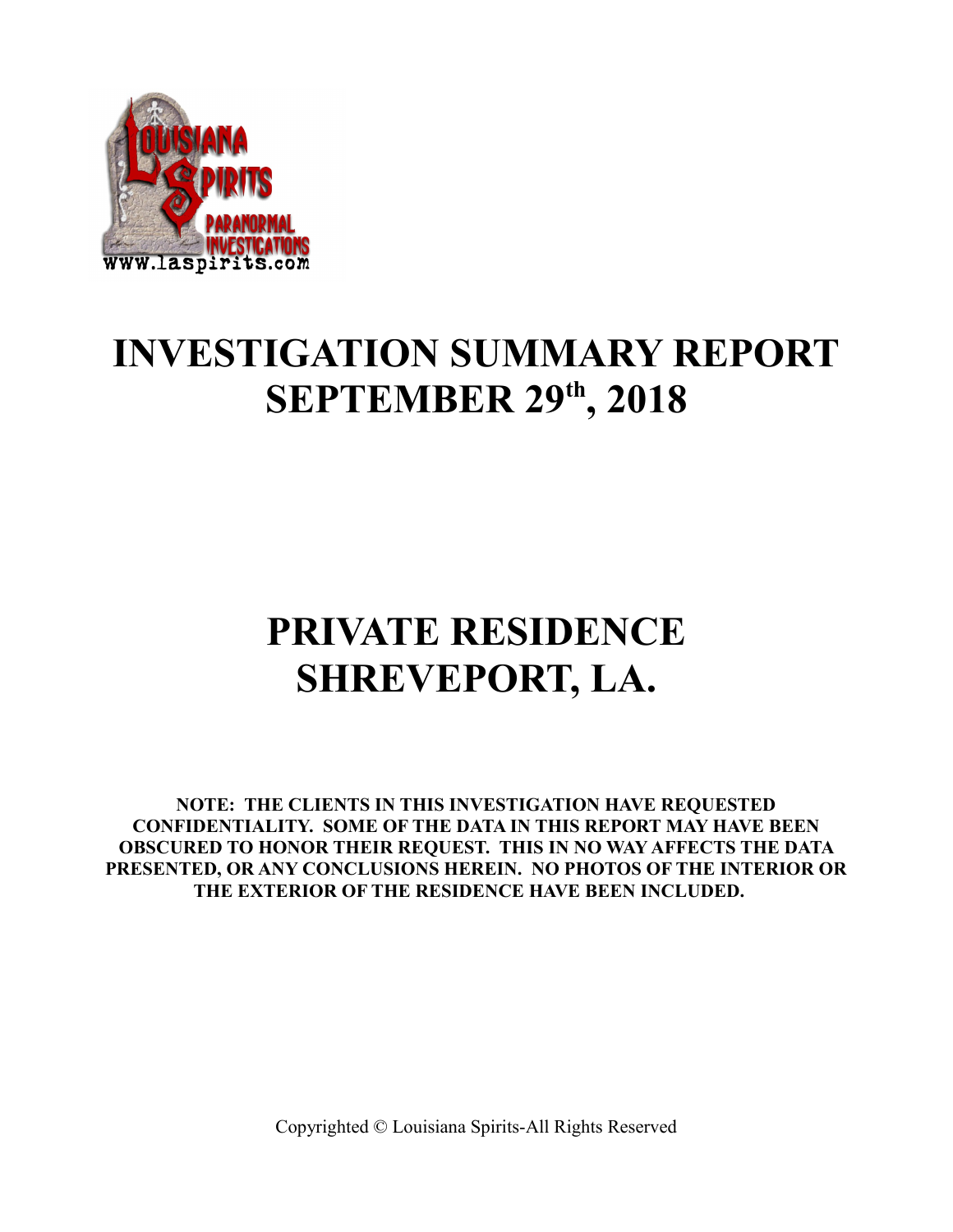

### **INVESTIGATION SUMMARY REPORT SEPTEMBER 29th, 2018**

## **PRIVATE RESIDENCE SHREVEPORT, LA.**

**NOTE: THE CLIENTS IN THIS INVESTIGATION HAVE REQUESTED CONFIDENTIALITY. SOME OF THE DATA IN THIS REPORT MAY HAVE BEEN OBSCURED TO HONOR THEIR REQUEST. THIS IN NO WAY AFFECTS THE DATA PRESENTED, OR ANY CONCLUSIONS HEREIN. NO PHOTOS OF THE INTERIOR OR THE EXTERIOR OF THE RESIDENCE HAVE BEEN INCLUDED.**

Copyrighted © Louisiana Spirits-All Rights Reserved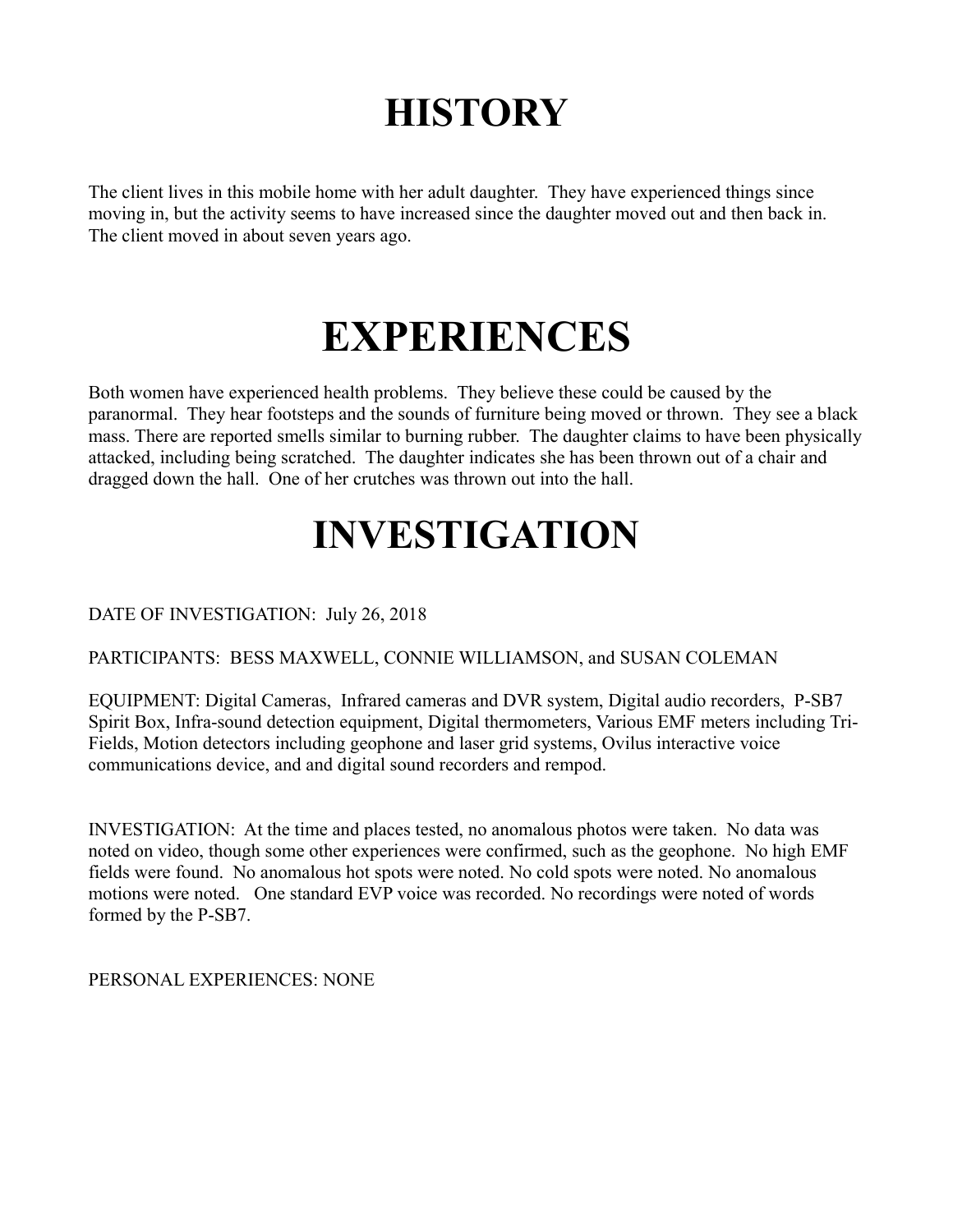## **HISTORY**

The client lives in this mobile home with her adult daughter. They have experienced things since moving in, but the activity seems to have increased since the daughter moved out and then back in. The client moved in about seven years ago.

# **EXPERIENCES**

Both women have experienced health problems. They believe these could be caused by the paranormal. They hear footsteps and the sounds of furniture being moved or thrown. They see a black mass. There are reported smells similar to burning rubber. The daughter claims to have been physically attacked, including being scratched. The daughter indicates she has been thrown out of a chair and dragged down the hall. One of her crutches was thrown out into the hall.

## **INVESTIGATION**

DATE OF INVESTIGATION: July 26, 2018

#### PARTICIPANTS: BESS MAXWELL, CONNIE WILLIAMSON, and SUSAN COLEMAN

EQUIPMENT: Digital Cameras, Infrared cameras and DVR system, Digital audio recorders, P-SB7 Spirit Box, Infra-sound detection equipment, Digital thermometers, Various EMF meters including Tri-Fields, Motion detectors including geophone and laser grid systems, Ovilus interactive voice communications device, and and digital sound recorders and rempod.

INVESTIGATION: At the time and places tested, no anomalous photos were taken. No data was noted on video, though some other experiences were confirmed, such as the geophone. No high EMF fields were found. No anomalous hot spots were noted. No cold spots were noted. No anomalous motions were noted. One standard EVP voice was recorded. No recordings were noted of words formed by the P-SB7.

PERSONAL EXPERIENCES: NONE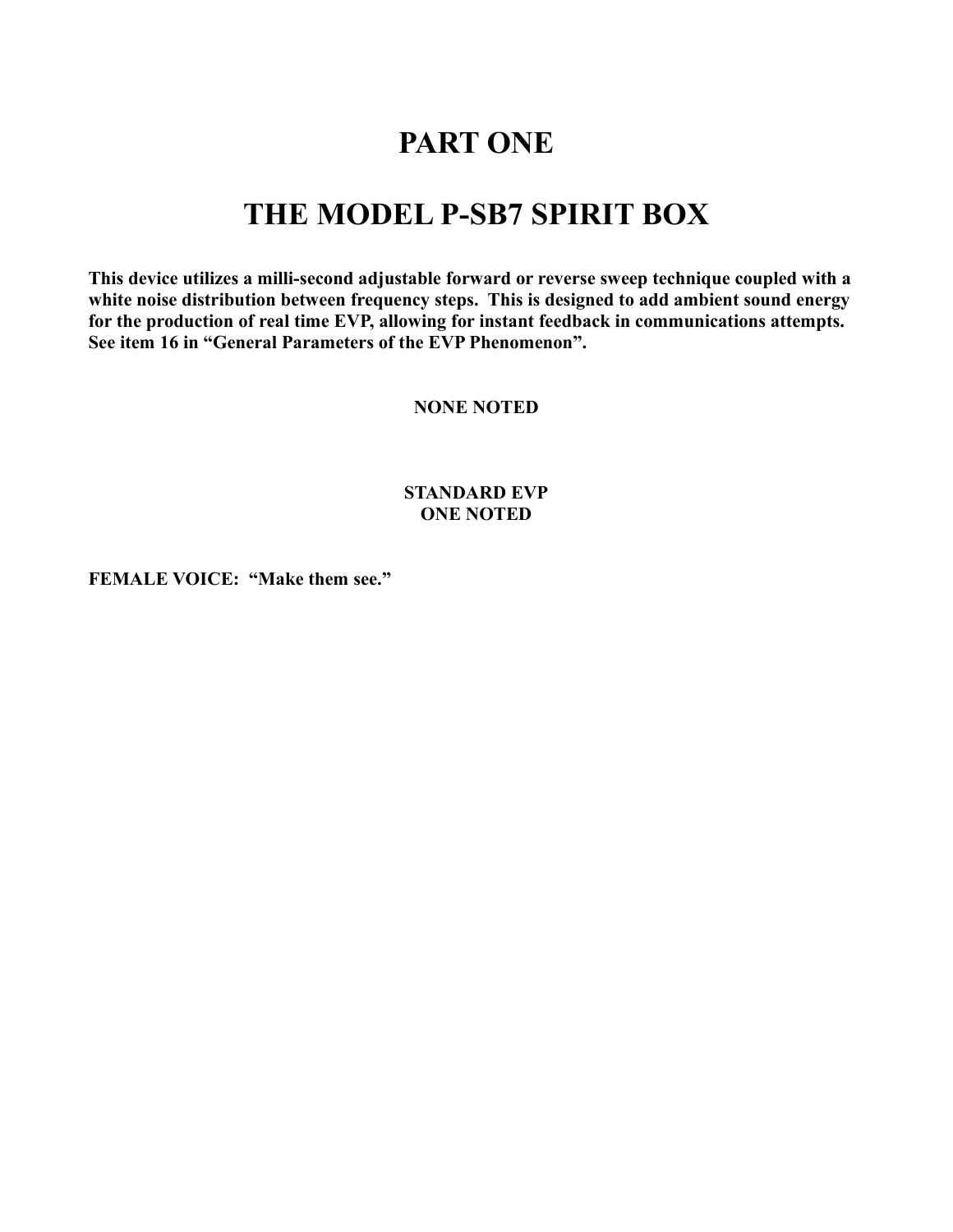### **PART ONE**

### **THE MODEL P-SB7 SPIRIT BOX**

**This device utilizes a milli-second adjustable forward or reverse sweep technique coupled with a white noise distribution between frequency steps. This is designed to add ambient sound energy for the production of real time EVP, allowing for instant feedback in communications attempts. See item 16 in "General Parameters of the EVP Phenomenon".** 

**NONE NOTED**

#### **STANDARD EVP ONE NOTED**

**FEMALE VOICE: "Make them see."**